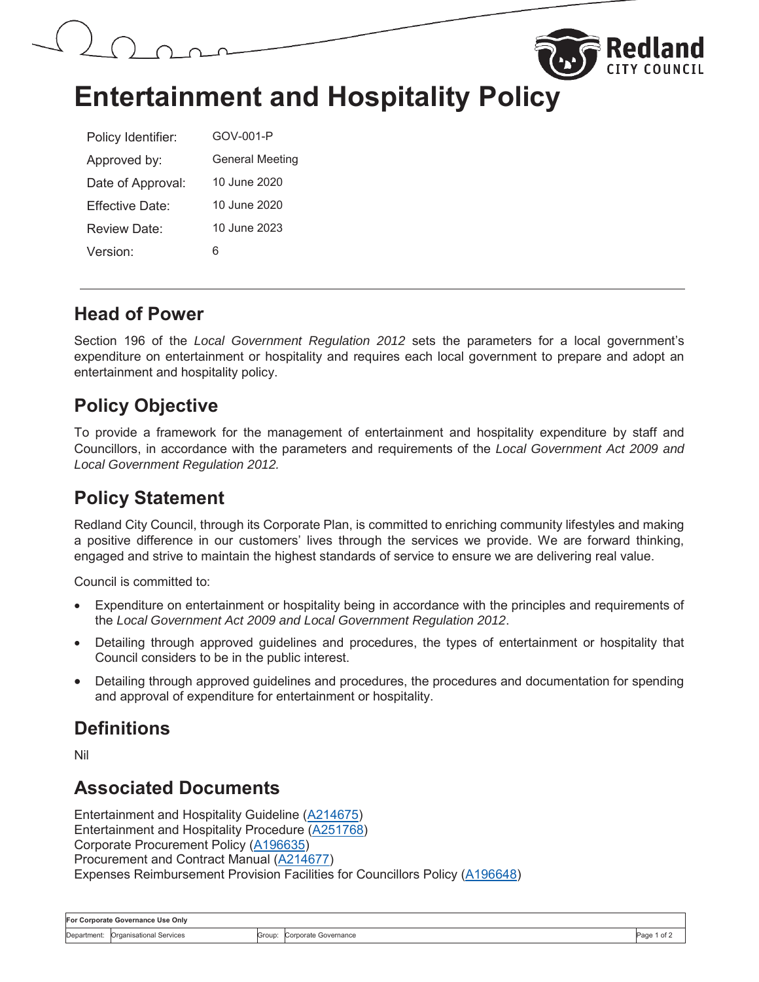



# **Entertainment and Hospitality Policy**

| Policy Identifier:   | GOV-001-P              |
|----------------------|------------------------|
| Approved by:         | <b>General Meeting</b> |
| Date of Approval:    | 10 June 2020           |
| Fffective Date:      | 10 June 2020           |
| Review Date:         | 10 June 2023           |
| Version <sup>.</sup> | 6                      |

#### **Head of Power**

Section 196 of the *Local Government Regulation 2012* sets the parameters for a local government's expenditure on entertainment or hospitality and requires each local government to prepare and adopt an entertainment and hospitality policy.

# **Policy Objective**

To provide a framework for the management of entertainment and hospitality expenditure by staff and Councillors, in accordance with the parameters and requirements of the *Local Government Act 2009 and Local Government Regulation 2012.*

# **Policy Statement**

Redland City Council, through its Corporate Plan, is committed to enriching community lifestyles and making a positive difference in our customers' lives through the services we provide. We are forward thinking, engaged and strive to maintain the highest standards of service to ensure we are delivering real value.

Council is committed to:

- Expenditure on entertainment or hospitality being in accordance with the principles and requirements of the *Local Government Act 2009 and Local Government Regulation 2012*.
- Detailing through approved guidelines and procedures, the types of entertainment or hospitality that Council considers to be in the public interest.
- Detailing through approved guidelines and procedures, the procedures and documentation for spending and approval of expenditure for entertainment or hospitality.

## **Definitions**

Nil

### **Associated Documents**

Entertainment and Hospitality Guideline (A214675) Entertainment and Hospitality Procedure (A251768) Corporate Procurement Policy (A196635) Procurement and Contract Manual (A214677) Expenses Reimbursement Provision Facilities for Councillors Policy (A196648)

| For Corporate Governance Use Only |                         |        |                      |              |  |  |  |
|-----------------------------------|-------------------------|--------|----------------------|--------------|--|--|--|
| Department:                       | Organisational Services | Group: | Corporate Governance | Page<br>'of. |  |  |  |